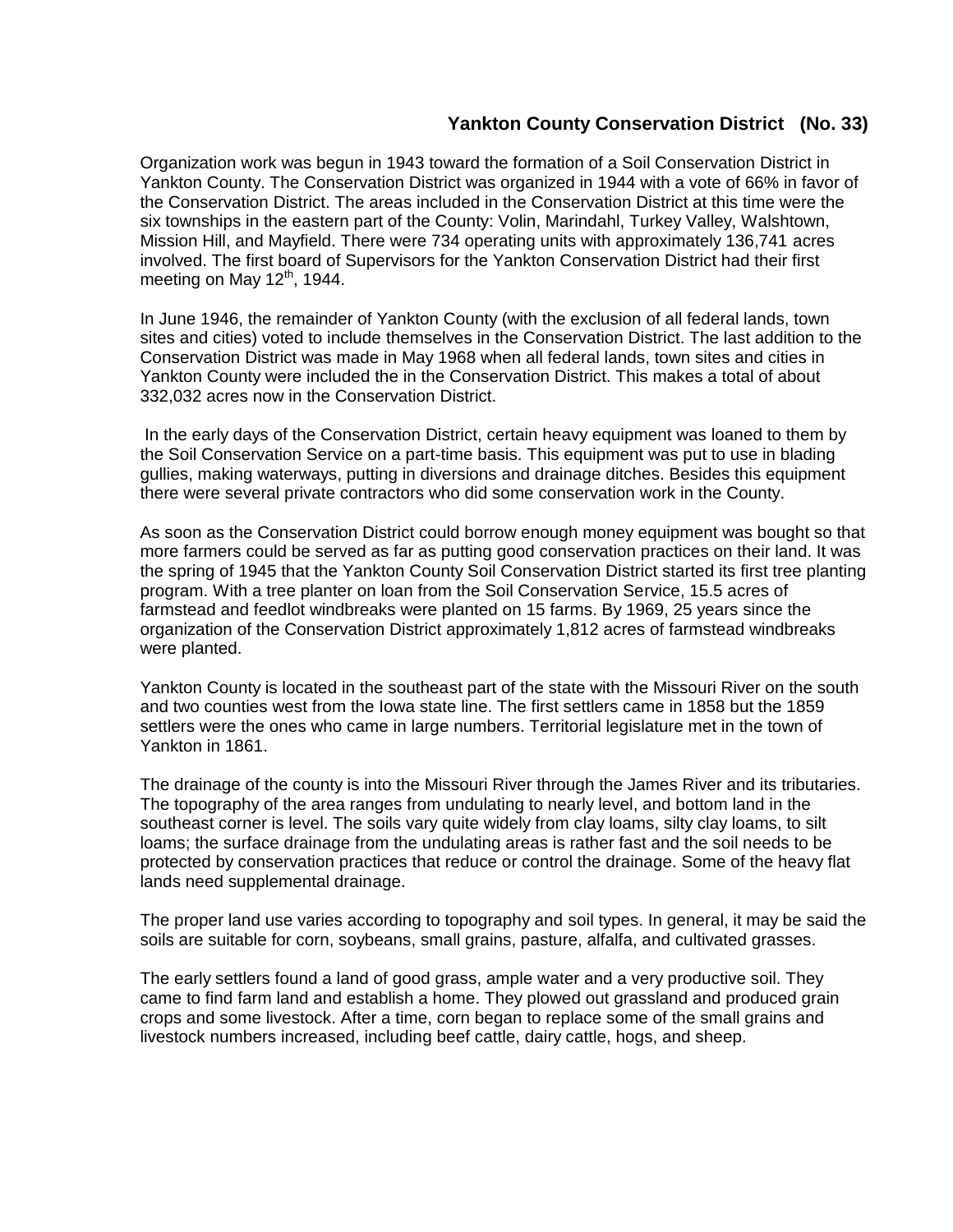## **Yankton County Conservation District (No. 33)**

Organization work was begun in 1943 toward the formation of a Soil Conservation District in Yankton County. The Conservation District was organized in 1944 with a vote of 66% in favor of the Conservation District. The areas included in the Conservation District at this time were the six townships in the eastern part of the County: Volin, Marindahl, Turkey Valley, Walshtown, Mission Hill, and Mayfield. There were 734 operating units with approximately 136,741 acres involved. The first board of Supervisors for the Yankton Conservation District had their first meeting on May  $12<sup>th</sup>$ , 1944.

In June 1946, the remainder of Yankton County (with the exclusion of all federal lands, town sites and cities) voted to include themselves in the Conservation District. The last addition to the Conservation District was made in May 1968 when all federal lands, town sites and cities in Yankton County were included the in the Conservation District. This makes a total of about 332,032 acres now in the Conservation District.

In the early days of the Conservation District, certain heavy equipment was loaned to them by the Soil Conservation Service on a part-time basis. This equipment was put to use in blading gullies, making waterways, putting in diversions and drainage ditches. Besides this equipment there were several private contractors who did some conservation work in the County.

As soon as the Conservation District could borrow enough money equipment was bought so that more farmers could be served as far as putting good conservation practices on their land. It was the spring of 1945 that the Yankton County Soil Conservation District started its first tree planting program. With a tree planter on loan from the Soil Conservation Service, 15.5 acres of farmstead and feedlot windbreaks were planted on 15 farms. By 1969, 25 years since the organization of the Conservation District approximately 1,812 acres of farmstead windbreaks were planted.

Yankton County is located in the southeast part of the state with the Missouri River on the south and two counties west from the Iowa state line. The first settlers came in 1858 but the 1859 settlers were the ones who came in large numbers. Territorial legislature met in the town of Yankton in 1861.

The drainage of the county is into the Missouri River through the James River and its tributaries. The topography of the area ranges from undulating to nearly level, and bottom land in the southeast corner is level. The soils vary quite widely from clay loams, silty clay loams, to silt loams; the surface drainage from the undulating areas is rather fast and the soil needs to be protected by conservation practices that reduce or control the drainage. Some of the heavy flat lands need supplemental drainage.

The proper land use varies according to topography and soil types. In general, it may be said the soils are suitable for corn, soybeans, small grains, pasture, alfalfa, and cultivated grasses.

The early settlers found a land of good grass, ample water and a very productive soil. They came to find farm land and establish a home. They plowed out grassland and produced grain crops and some livestock. After a time, corn began to replace some of the small grains and livestock numbers increased, including beef cattle, dairy cattle, hogs, and sheep.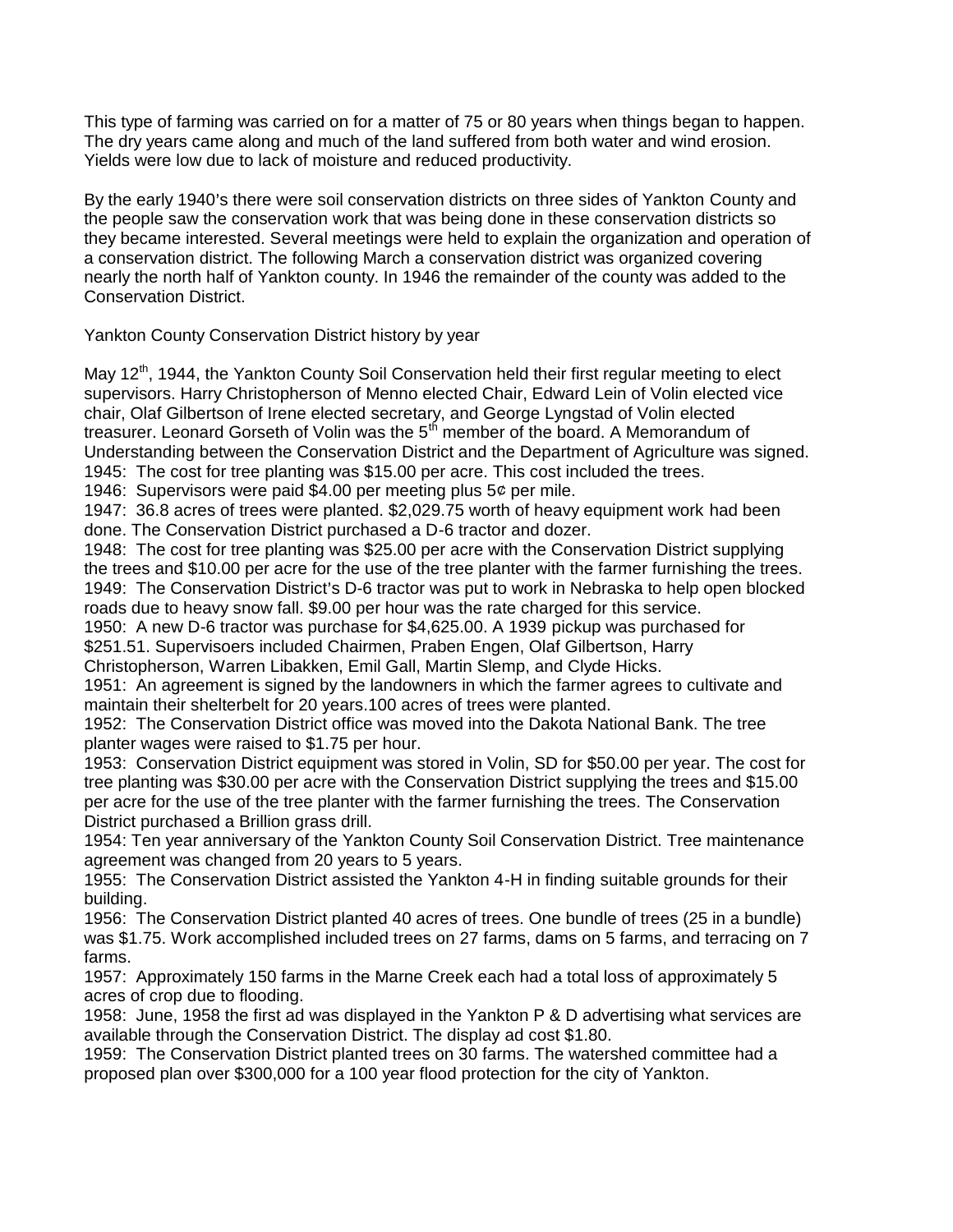This type of farming was carried on for a matter of 75 or 80 years when things began to happen. The dry years came along and much of the land suffered from both water and wind erosion. Yields were low due to lack of moisture and reduced productivity.

By the early 1940's there were soil conservation districts on three sides of Yankton County and the people saw the conservation work that was being done in these conservation districts so they became interested. Several meetings were held to explain the organization and operation of a conservation district. The following March a conservation district was organized covering nearly the north half of Yankton county. In 1946 the remainder of the county was added to the Conservation District.

Yankton County Conservation District history by year

May 12<sup>th</sup>, 1944, the Yankton County Soil Conservation held their first regular meeting to elect supervisors. Harry Christopherson of Menno elected Chair, Edward Lein of Volin elected vice chair, Olaf Gilbertson of Irene elected secretary, and George Lyngstad of Volin elected treasurer. Leonard Gorseth of Volin was the  $5<sup>th</sup>$  member of the board. A Memorandum of Understanding between the Conservation District and the Department of Agriculture was signed. 1945: The cost for tree planting was \$15.00 per acre. This cost included the trees.

1946: Supervisors were paid \$4.00 per meeting plus  $5¢$  per mile.

1947: 36.8 acres of trees were planted. \$2,029.75 worth of heavy equipment work had been done. The Conservation District purchased a D-6 tractor and dozer.

1948: The cost for tree planting was \$25.00 per acre with the Conservation District supplying the trees and \$10.00 per acre for the use of the tree planter with the farmer furnishing the trees. 1949: The Conservation District's D-6 tractor was put to work in Nebraska to help open blocked roads due to heavy snow fall. \$9.00 per hour was the rate charged for this service.

1950: A new D-6 tractor was purchase for \$4,625.00. A 1939 pickup was purchased for \$251.51. Supervisoers included Chairmen, Praben Engen, Olaf Gilbertson, Harry

Christopherson, Warren Libakken, Emil Gall, Martin Slemp, and Clyde Hicks.

1951: An agreement is signed by the landowners in which the farmer agrees to cultivate and maintain their shelterbelt for 20 years.100 acres of trees were planted.

1952: The Conservation District office was moved into the Dakota National Bank. The tree planter wages were raised to \$1.75 per hour.

1953: Conservation District equipment was stored in Volin, SD for \$50.00 per year. The cost for tree planting was \$30.00 per acre with the Conservation District supplying the trees and \$15.00 per acre for the use of the tree planter with the farmer furnishing the trees. The Conservation District purchased a Brillion grass drill.

1954: Ten year anniversary of the Yankton County Soil Conservation District. Tree maintenance agreement was changed from 20 years to 5 years.

1955: The Conservation District assisted the Yankton 4-H in finding suitable grounds for their building.

1956: The Conservation District planted 40 acres of trees. One bundle of trees (25 in a bundle) was \$1.75. Work accomplished included trees on 27 farms, dams on 5 farms, and terracing on 7 farms.

1957: Approximately 150 farms in the Marne Creek each had a total loss of approximately 5 acres of crop due to flooding.

1958: June, 1958 the first ad was displayed in the Yankton P & D advertising what services are available through the Conservation District. The display ad cost \$1.80.

1959: The Conservation District planted trees on 30 farms. The watershed committee had a proposed plan over \$300,000 for a 100 year flood protection for the city of Yankton.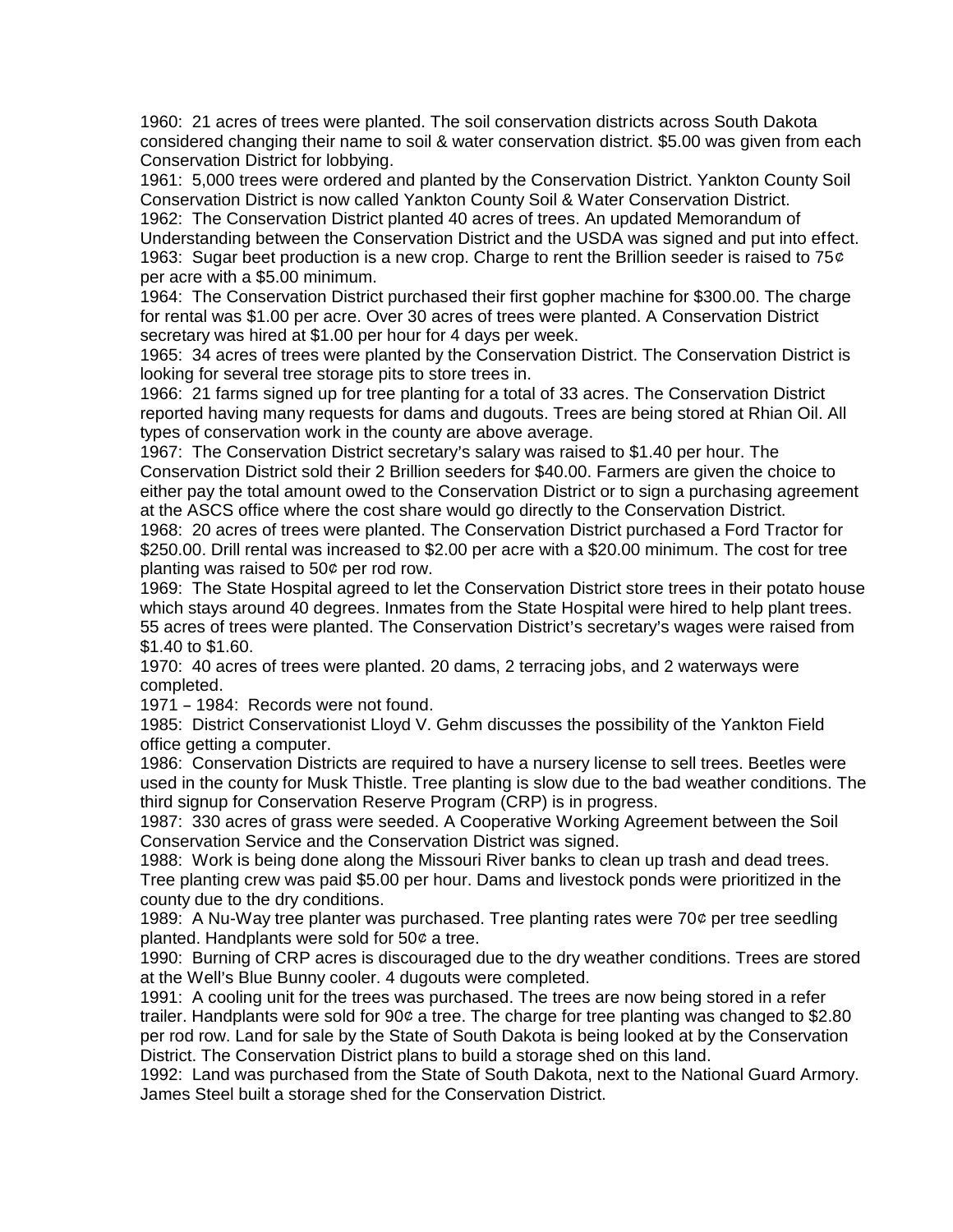1960: 21 acres of trees were planted. The soil conservation districts across South Dakota considered changing their name to soil & water conservation district. \$5.00 was given from each Conservation District for lobbying.

1961: 5,000 trees were ordered and planted by the Conservation District. Yankton County Soil Conservation District is now called Yankton County Soil & Water Conservation District. 1962: The Conservation District planted 40 acres of trees. An updated Memorandum of Understanding between the Conservation District and the USDA was signed and put into effect. 1963: Sugar beet production is a new crop. Charge to rent the Brillion seeder is raised to 75 $\varphi$ per acre with a \$5.00 minimum.

1964: The Conservation District purchased their first gopher machine for \$300.00. The charge for rental was \$1.00 per acre. Over 30 acres of trees were planted. A Conservation District secretary was hired at \$1.00 per hour for 4 days per week.

1965: 34 acres of trees were planted by the Conservation District. The Conservation District is looking for several tree storage pits to store trees in.

1966: 21 farms signed up for tree planting for a total of 33 acres. The Conservation District reported having many requests for dams and dugouts. Trees are being stored at Rhian Oil. All types of conservation work in the county are above average.

1967: The Conservation District secretary's salary was raised to \$1.40 per hour. The Conservation District sold their 2 Brillion seeders for \$40.00. Farmers are given the choice to either pay the total amount owed to the Conservation District or to sign a purchasing agreement at the ASCS office where the cost share would go directly to the Conservation District.

1968: 20 acres of trees were planted. The Conservation District purchased a Ford Tractor for \$250.00. Drill rental was increased to \$2.00 per acre with a \$20.00 minimum. The cost for tree planting was raised to  $50¢$  per rod row.

1969: The State Hospital agreed to let the Conservation District store trees in their potato house which stays around 40 degrees. Inmates from the State Hospital were hired to help plant trees. 55 acres of trees were planted. The Conservation District's secretary's wages were raised from \$1.40 to \$1.60.

1970: 40 acres of trees were planted. 20 dams, 2 terracing jobs, and 2 waterways were completed.

 $1971 - 1984$ : Records were not found.

1985: District Conservationist Lloyd V. Gehm discusses the possibility of the Yankton Field office getting a computer.

1986: Conservation Districts are required to have a nursery license to sell trees. Beetles were used in the county for Musk Thistle. Tree planting is slow due to the bad weather conditions. The third signup for Conservation Reserve Program (CRP) is in progress.

1987: 330 acres of grass were seeded. A Cooperative Working Agreement between the Soil Conservation Service and the Conservation District was signed.

1988: Work is being done along the Missouri River banks to clean up trash and dead trees. Tree planting crew was paid \$5.00 per hour. Dams and livestock ponds were prioritized in the county due to the dry conditions.

1989: A Nu-Way tree planter was purchased. Tree planting rates were 70¢ per tree seedling planted. Handplants were sold for  $50¢$  a tree.

1990: Burning of CRP acres is discouraged due to the dry weather conditions. Trees are stored at the Well's Blue Bunny cooler. 4 dugouts were completed.

1991: A cooling unit for the trees was purchased. The trees are now being stored in a refer trailer. Handplants were sold for  $90¢$  a tree. The charge for tree planting was changed to \$2.80 per rod row. Land for sale by the State of South Dakota is being looked at by the Conservation District. The Conservation District plans to build a storage shed on this land.

1992: Land was purchased from the State of South Dakota, next to the National Guard Armory. James Steel built a storage shed for the Conservation District.